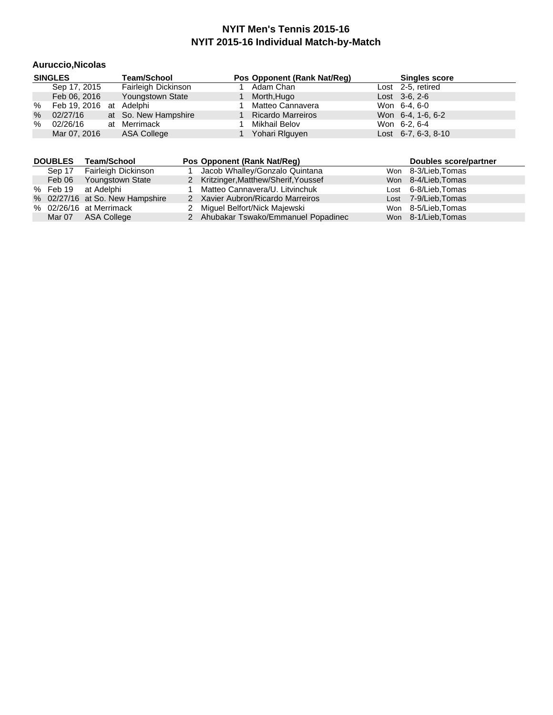#### **Auruccio,Nicolas**

|   | <b>SINGLES</b>          | <b>Team/School</b>   |  | Pos Opponent (Rank Nat/Req) |  | <b>Singles score</b>  |
|---|-------------------------|----------------------|--|-----------------------------|--|-----------------------|
|   | Sep 17, 2015            | Fairleigh Dickinson  |  | Adam Chan                   |  | Lost 2-5, retired     |
|   | Feb 06, 2016            | Youngstown State     |  | Morth, Hugo                 |  | $Last \, 3-6, 2-6$    |
| % | Feb 19, 2016 at Adelphi |                      |  | Matteo Cannavera            |  | Won 6-4, 6-0          |
| % | 02/27/16                | at So. New Hampshire |  | <b>Ricardo Marreiros</b>    |  | Won 6-4, 1-6, 6-2     |
| % | 02/26/16                | at Merrimack         |  | Mikhail Belov               |  | Won 6-2, 6-4          |
|   | Mar 07, 2016            | <b>ASA College</b>   |  | Yohari Riguyen              |  | Lost $6-7, 6-3, 8-10$ |

| <b>DOUBLES</b> | Team/School                     | Pos Opponent (Rank Nat/Reg)           | Doubles score/partner |
|----------------|---------------------------------|---------------------------------------|-----------------------|
| Sep 17         | Fairleigh Dickinson             | Jacob Whalley/Gonzalo Quintana        | Won 8-3/Lieb, Tomas   |
| Feb 06         | <b>Youngstown State</b>         | 2 Kritzinger, Matthew/Sherif, Youssef | Won 8-4/Lieb, Tomas   |
| % Feb 19       | at Adelphi                      | Matteo Cannavera/U. Litvinchuk        | Lost 6-8/Lieb, Tomas  |
|                | % 02/27/16 at So. New Hampshire | 2 Xavier Aubron/Ricardo Marreiros     | Lost 7-9/Lieb, Tomas  |
|                | % 02/26/16 at Merrimack         | 2 Miguel Belfort/Nick Majewski        | Won 8-5/Lieb, Tomas   |
| Mar 07         | ASA College                     | 2 Ahubakar Tswako/Emmanuel Popadinec  | Won 8-1/Lieb, Tomas   |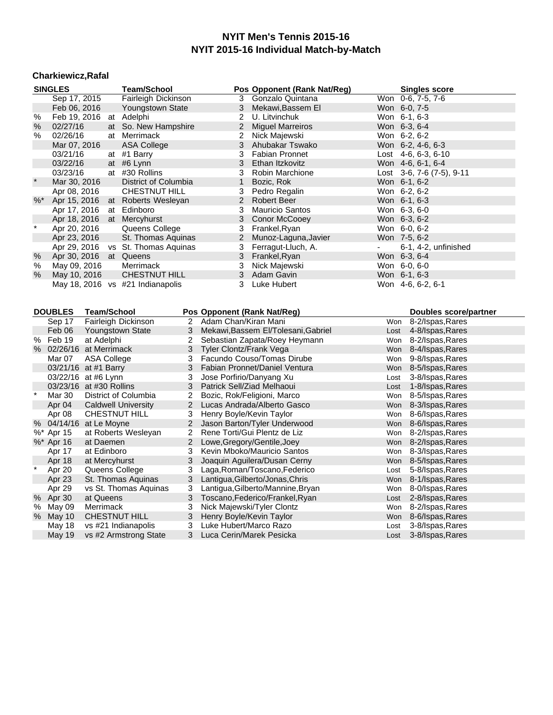# **Charkiewicz,Rafal**

|         | <b>SINGLES</b>           |                    | <b>Team/School</b>                           |                | Pos Opponent (Rank Nat/Reg)                         |            | <b>Singles score</b>                      |
|---------|--------------------------|--------------------|----------------------------------------------|----------------|-----------------------------------------------------|------------|-------------------------------------------|
|         | Sep 17, 2015             |                    | Fairleigh Dickinson                          |                | 3<br>Gonzalo Quintana                               |            | Won 0-6, 7-5, 7-6                         |
|         | Feb 06, 2016             |                    | Youngstown State                             |                | 3<br>Mekawi, Bassem El                              |            | Won 6-0, 7-5                              |
| %       |                          |                    | Feb 19, 2016 at Adelphi                      |                | 2<br>U. Litvinchuk                                  |            | Won 6-1, 6-3                              |
| %       | 02/27/16                 |                    | So. New Hampshire<br>at                      |                | $\overline{c}$<br><b>Miguel Marreiros</b>           |            | Won 6-3, 6-4                              |
| ℅       | 02/26/16                 |                    | at Merrimack                                 |                | $\overline{2}$<br>Nick Majewski                     |            | Won 6-2, 6-2                              |
|         | Mar 07, 2016             |                    | ASA College                                  |                | 3<br>Ahubakar Tswako                                |            | Won 6-2, 4-6, 6-3                         |
|         | 03/21/16                 |                    | at #1 Barry                                  |                | 3<br><b>Fabian Pronnet</b>                          |            | Lost $4-6, 6-3, 6-10$                     |
|         | 03/22/16                 |                    | #6 Lynn<br>at                                |                | 3<br>Ethan Itzkovitz                                |            | Won 4-6, 6-1, 6-4                         |
|         | 03/23/16                 |                    | at #30 Rollins                               |                | 3<br>Robin Marchione                                |            | Lost $3-6$ , $7-6$ $(7-5)$ , $9-11$       |
|         | Mar 30, 2016             |                    | District of Columbia                         |                | $\mathbf{1}$<br>Bozic, Rok                          |            | Won 6-1, 6-2                              |
|         | Apr 08, 2016             |                    | <b>CHESTNUT HILL</b>                         |                | 3<br>Pedro Regalin                                  |            | Won 6-2, 6-2                              |
| $%^*$   | Apr 15, 2016 at          |                    | Roberts Wesleyan                             |                | 2<br><b>Robert Beer</b>                             |            | Won 6-1, 6-3                              |
|         | Apr 17, 2016             |                    | at Edinboro                                  |                | 3<br><b>Mauricio Santos</b>                         |            | Won 6-3, 6-0                              |
|         | Apr 18, 2016             | at                 | Mercyhurst                                   |                | 3<br>Conor McCooey                                  |            | Won 6-3, 6-2                              |
| $\star$ | Apr 20, 2016             |                    | Queens College                               |                | 3<br>Frankel, Ryan                                  |            | Won 6-0, 6-2                              |
|         | Apr 23, 2016             |                    | St. Thomas Aquinas                           |                | $\overline{c}$<br>Munoz-Laguna, Javier              |            | Won 7-5, 6-2                              |
|         |                          |                    | Apr 29, 2016 vs St. Thomas Aquinas           |                | 3<br>Ferragut-Lluch, A.                             |            | 6-1, 4-2, unfinished                      |
| $\%$    | Apr 30, 2016             |                    | at Queens                                    |                | 3<br>Frankel, Ryan                                  |            | Won 6-3, 6-4                              |
| $\%$    | May 09, 2016             |                    | Merrimack                                    |                | 3<br>Nick Majewski                                  |            | Won 6-0, 6-0                              |
| %       | May 10, 2016             |                    | <b>CHESTNUT HILL</b>                         |                | 3<br>Adam Gavin                                     |            | Won 6-1, 6-3                              |
|         |                          |                    | May 18, 2016 vs #21 Indianapolis             |                | 3<br>Luke Hubert                                    |            | Won 4-6, 6-2, 6-1                         |
|         | <b>DOUBLES</b><br>Sep 17 | <b>Team/School</b> | Fairleigh Dickinson                          | 2              | Pos Opponent (Rank Nat/Reg)<br>Adam Chan/Kiran Mani | Won        | Doubles score/partner<br>8-2/Ispas, Rares |
|         | Feb 06                   |                    | Youngstown State                             | 3              | Mekawi, Bassem El/Tolesani, Gabriel                 | Lost       | 4-8/Ispas, Rares                          |
|         | % Feb 19                 | at Adelphi         |                                              | $\overline{2}$ | Sebastian Zapata/Roey Heymann                       | Won        | 8-2/Ispas, Rares                          |
|         | % 02/26/16 at Merrimack  |                    |                                              | 3              | Tyler Clontz/Frank Vega                             | <b>Won</b> | 8-4/Ispas, Rares                          |
|         | Mar 07                   | <b>ASA College</b> |                                              | 3              | Facundo Couso/Tomas Dirube                          | Won        | 9-8/Ispas, Rares                          |
|         | 03/21/16 at #1 Barry     |                    |                                              | 3              | Fabian Pronnet/Daniel Ventura                       | <b>Won</b> | 8-5/Ispas, Rares                          |
|         | 03/22/16 at #6 Lynn      |                    |                                              | 3              | Jose Porfirio/Danyang Xu                            | Lost       | 3-8/Ispas, Rares                          |
|         | 03/23/16 at #30 Rollins  |                    |                                              | 3              | Patrick Sell/Ziad Melhaoui                          | Lost       | 1-8/Ispas, Rares                          |
| $\star$ | Mar 30                   |                    | District of Columbia                         | 2              | Bozic, Rok/Feligioni, Marco                         | Won        | 8-5/Ispas, Rares                          |
|         | Apr 04                   |                    | <b>Caldwell University</b>                   | $\overline{2}$ | Lucas Andrada/Alberto Gasco                         | Won        | 8-3/Ispas, Rares                          |
|         | Apr 08                   |                    | CHESTNUT HILL                                | 3              | Henry Boyle/Kevin Taylor                            | Won        | 8-6/Ispas, Rares                          |
|         | % 04/14/16               | at Le Moyne        |                                              | $\overline{2}$ | Jason Barton/Tyler Underwood                        | Won        | 8-6/Ispas, Rares                          |
|         | %* Apr 15                |                    | at Roberts Wesleyan                          | $\overline{2}$ | Rene Torti/Gui Plentz de Liz                        | Won        | 8-2/Ispas, Rares                          |
|         | %* Apr 16                | at Daemen          |                                              | $\overline{2}$ | Lowe, Gregory/Gentile, Joey                         | Won        | 8-2/Ispas, Rares                          |
|         | Apr 17                   | at Edinboro        |                                              | 3              | Kevin Mboko/Mauricio Santos                         | Won        | 8-3/Ispas, Rares                          |
|         | Apr 18                   | at Mercyhurst      |                                              | 3              | Joaquin Aguilera/Dusan Cerny                        | Won        | 8-5/Ispas, Rares                          |
| $\star$ | Apr 20                   |                    | Queens College                               | 3              | Laga, Roman/Toscano, Federico                       | Lost       | 5-8/Ispas, Rares                          |
|         | Apr 23                   |                    | St. Thomas Aquinas                           | 3              | Lantigua, Gilberto/Jonas, Chris                     | Won        | 8-1/Ispas, Rares                          |
|         | Apr 29                   |                    | vs St. Thomas Aquinas                        | 3              | Lantigua, Gilberto/Mannine, Bryan                   | Won        | 8-0/Ispas, Rares                          |
|         | % Apr 30                 | at Queens          |                                              | 3              | Toscano, Federico/Frankel, Ryan                     | Lost       | 2-8/Ispas, Rares                          |
| $\%$    |                          |                    |                                              |                |                                                     |            |                                           |
|         | May 09                   | Merrimack          |                                              | 3              | Nick Majewski/Tyler Clontz                          | Won        | 8-2/Ispas, Rares                          |
| %       | May 10                   |                    | <b>CHESTNUT HILL</b>                         | 3              | Henry Boyle/Kevin Taylor                            | Won        | 8-6/Ispas, Rares                          |
|         | May 18<br>May 19         |                    | vs #21 Indianapolis<br>vs #2 Armstrong State | 3<br>3         | Luke Hubert/Marco Razo<br>Luca Cerin/Marek Pesicka  | Lost       | 3-8/Ispas, Rares<br>3-8/Ispas, Rares      |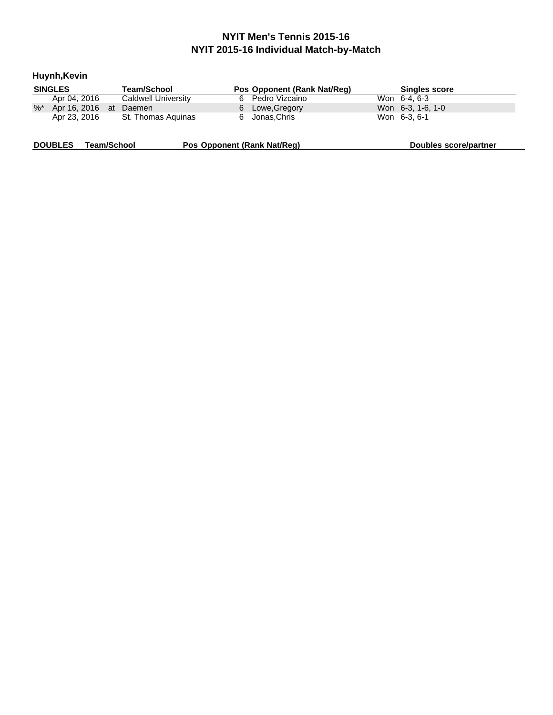| Huynh, Kevin                         |                     |                             |                       |
|--------------------------------------|---------------------|-----------------------------|-----------------------|
| <b>SINGLES</b>                       | Team/School         | Pos Opponent (Rank Nat/Req) | <b>Singles score</b>  |
| Apr 04, 2016                         | Caldwell University | Pedro Vizcaino<br>6.        | Won 6-4, 6-3          |
| $\%^*$<br>Apr 16, 2016               | Daemen<br>at        | Lowe, Gregory<br>6.         | Won 6-3, 1-6, 1-0     |
| Apr 23, 2016                         | St. Thomas Aguinas  | Jonas, Chris<br>6.          | Won 6-3, 6-1          |
| <b>DOUBLES</b><br><b>Team/School</b> |                     | Pos Opponent (Rank Nat/Req) | Doubles score/partner |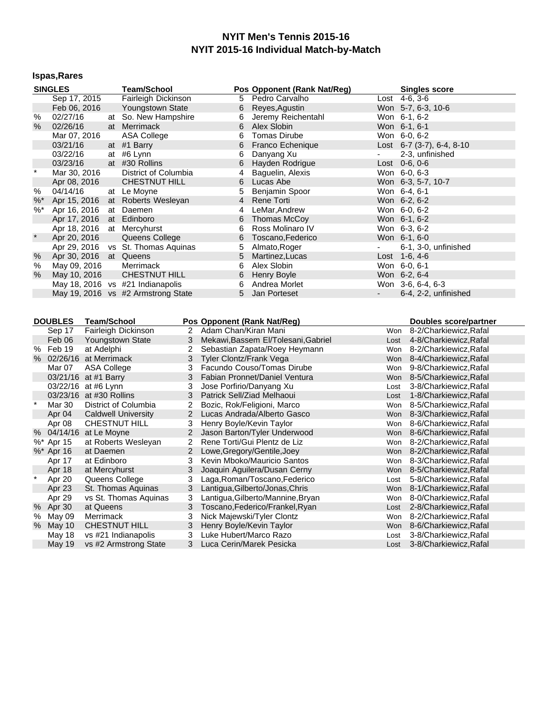# **Ispas,Rares**

|         | <b>SINGLES</b>          |                      | <b>Team/School</b>                 |                | Pos Opponent (Rank Nat/Reg)                        |                          | <b>Singles score</b>                             |
|---------|-------------------------|----------------------|------------------------------------|----------------|----------------------------------------------------|--------------------------|--------------------------------------------------|
|         | Sep 17, 2015            |                      | Fairleigh Dickinson                |                | Pedro Carvalho<br>5                                | Lost                     | $4-6, 3-6$                                       |
|         | Feb 06, 2016            |                      | Youngstown State                   |                | 6<br>Reyes, Agustin                                |                          | Won 5-7, 6-3, 10-6                               |
| $\%$    | 02/27/16                |                      | at So. New Hampshire               |                | Jeremy Reichentahl<br>6                            |                          | Won 6-1, 6-2                                     |
| $\%$    | 02/26/16                |                      | at Merrimack                       |                | 6<br>Alex Slobin                                   |                          | Won 6-1, 6-1                                     |
|         | Mar 07, 2016            |                      | <b>ASA College</b>                 |                | 6<br><b>Tomas Dirube</b>                           |                          | Won 6-0, 6-2                                     |
|         | 03/21/16                |                      | at #1 Barry                        |                | 6<br>Franco Echenique                              |                          | Lost 6-7 (3-7), 6-4, 8-10                        |
|         | 03/22/16                |                      | at #6 Lynn                         |                | 6<br>Danyang Xu                                    |                          | 2-3, unfinished                                  |
|         | 03/23/16                |                      | at #30 Rollins                     |                | 6<br>Hayden Rodrigue                               |                          | Lost 0-6, 0-6                                    |
| $\star$ | Mar 30, 2016            |                      | District of Columbia               |                | 4<br>Baguelin, Alexis                              |                          | Won 6-0, 6-3                                     |
|         | Apr 08, 2016            |                      | <b>CHESTNUT HILL</b>               |                | 6<br>Lucas Abe                                     |                          | Won 6-3, 5-7, 10-7                               |
| %       | 04/14/16                |                      | at Le Moyne                        |                | 5<br>Benjamin Spoor                                |                          | Won 6-4, 6-1                                     |
| %       | Apr 15, 2016            |                      | at Roberts Wesleyan                |                | $\overline{4}$<br><b>Rene Torti</b>                |                          | Won 6-2, 6-2                                     |
| %       | Apr 16, 2016            |                      | at Daemen                          |                | LeMar, Andrew<br>4                                 |                          | Won 6-0, 6-2                                     |
|         | Apr 17, 2016            | at                   | Edinboro                           |                | 6<br>Thomas McCoy                                  |                          | Won 6-1, 6-2                                     |
|         | Apr 18, 2016            |                      | at Mercyhurst                      |                | 6<br>Ross Molinaro IV                              |                          | Won 6-3, 6-2                                     |
| $\star$ | Apr 20, 2016            |                      | Queens College                     |                | 6<br>Toscano, Federico                             |                          | Won 6-1, 6-0                                     |
|         | Apr 29, 2016            |                      | vs St. Thomas Aquinas              |                | 5<br>Almato, Roger                                 | $\blacksquare$           | 6-1, 3-0, unfinished                             |
| %       | Apr 30, 2016            |                      | at Queens                          |                | 5<br>Martinez, Lucas                               |                          | Lost 1-6, 4-6                                    |
| $\%$    | May 09, 2016            |                      | Merrimack                          |                | 6<br>Alex Slobin                                   |                          | Won 6-0, 6-1                                     |
| %       | May 10, 2016            |                      | <b>CHESTNUT HILL</b>               |                | 6<br>Henry Boyle                                   |                          | Won 6-2, 6-4                                     |
|         |                         |                      | May 18, 2016 vs #21 Indianapolis   |                | 6<br>Andrea Morlet                                 |                          | Won 3-6, 6-4, 6-3                                |
|         |                         |                      | May 19, 2016 vs #2 Armstrong State |                | 5<br>Jan Porteset                                  | $\overline{\phantom{a}}$ | 6-4, 2-2, unfinished                             |
|         |                         |                      |                                    |                |                                                    |                          |                                                  |
|         | <b>DOUBLES</b>          | <b>Team/School</b>   |                                    |                |                                                    |                          |                                                  |
|         |                         |                      |                                    |                | Pos Opponent (Rank Nat/Reg)                        |                          | Doubles score/partner                            |
|         | Sep 17                  |                      | Fairleigh Dickinson                | 2              | Adam Chan/Kiran Mani                               | Won                      | 8-2/Charkiewicz, Rafal                           |
|         | Feb 06                  |                      | <b>Youngstown State</b>            | 3              | Mekawi, Bassem El/Tolesani, Gabriel                | Lost                     | 4-8/Charkiewicz, Rafal                           |
|         | % Feb 19                | at Adelphi           |                                    | $\overline{2}$ | Sebastian Zapata/Roey Heymann                      |                          | Won 8-2/Charkiewicz, Rafal                       |
|         | % 02/26/16 at Merrimack |                      |                                    | 3              | <b>Tyler Clontz/Frank Vega</b>                     | <b>Won</b>               | 8-4/Charkiewicz, Rafal                           |
|         | Mar 07                  | <b>ASA College</b>   |                                    | 3              | Facundo Couso/Tomas Dirube                         | Won                      | 9-8/Charkiewicz, Rafal                           |
|         | 03/21/16 at #1 Barry    |                      |                                    | 3              | Fabian Pronnet/Daniel Ventura                      | <b>Won</b>               | 8-5/Charkiewicz, Rafal                           |
|         | 03/22/16 at #6 Lynn     |                      |                                    | 3              | Jose Porfirio/Danyang Xu                           | Lost                     | 3-8/Charkiewicz, Rafal                           |
|         | 03/23/16 at #30 Rollins |                      |                                    | 3              | Patrick Sell/Ziad Melhaoui                         | Lost                     | 1-8/Charkiewicz, Rafal                           |
| $\star$ | Mar 30                  |                      | District of Columbia               | $\overline{2}$ | Bozic, Rok/Feligioni, Marco                        | Won                      | 8-5/Charkiewicz, Rafal                           |
|         | Apr 04                  |                      | <b>Caldwell University</b>         | $\overline{2}$ | Lucas Andrada/Alberto Gasco                        | <b>Won</b>               | 8-3/Charkiewicz, Rafal                           |
|         | Apr 08                  | <b>CHESTNUT HILL</b> |                                    | 3              | Henry Boyle/Kevin Taylor                           | Won                      | 8-6/Charkiewicz, Rafal                           |
| %       | 04/14/16                | at Le Moyne          |                                    | $\overline{2}$ | Jason Barton/Tyler Underwood                       | <b>Won</b>               | 8-6/Charkiewicz, Rafal                           |
|         | %* Apr 15               |                      | at Roberts Wesleyan                | 2              | Rene Torti/Gui Plentz de Liz                       | Won                      | 8-2/Charkiewicz, Rafal                           |
|         | %* Apr 16               | at Daemen            |                                    | $\overline{2}$ | Lowe, Gregory/Gentile, Joey                        | <b>Won</b>               | 8-2/Charkiewicz, Rafal                           |
|         | Apr 17                  | at Edinboro          |                                    | 3              | Kevin Mboko/Mauricio Santos                        | Won                      | 8-3/Charkiewicz, Rafal                           |
|         |                         |                      |                                    | 3              |                                                    | Won                      | 8-5/Charkiewicz, Rafal                           |
| $\star$ | Apr 18                  | at Mercyhurst        |                                    | 3              | Joaquin Aguilera/Dusan Cerny                       | Lost                     | 5-8/Charkiewicz, Rafal                           |
|         | Apr 20                  | Queens College       |                                    | 3              | Laga, Roman/Toscano, Federico                      | Won                      | 8-1/Charkiewicz, Rafal                           |
|         | Apr 23                  |                      | St. Thomas Aquinas                 | 3              | Lantigua, Gilberto/Jonas, Chris                    | Won                      | 8-0/Charkiewicz, Rafal                           |
|         | Apr 29                  |                      | vs St. Thomas Aquinas              | 3              | Lantigua, Gilberto/Mannine, Bryan                  | Lost                     |                                                  |
|         | % Apr 30                | at Queens            |                                    | 3              | Toscano, Federico/Frankel, Ryan                    | Won                      | 2-8/Charkiewicz, Rafal                           |
| %       | May 09                  | Merrimack            |                                    | 3              | Nick Majewski/Tyler Clontz                         | Won                      | 8-2/Charkiewicz, Rafal                           |
| %       | May 10<br>May 18        | <b>CHESTNUT HILL</b> | vs #21 Indianapolis                | 3              | Henry Boyle/Kevin Taylor<br>Luke Hubert/Marco Razo | Lost                     | 8-6/Charkiewicz, Rafal<br>3-8/Charkiewicz, Rafal |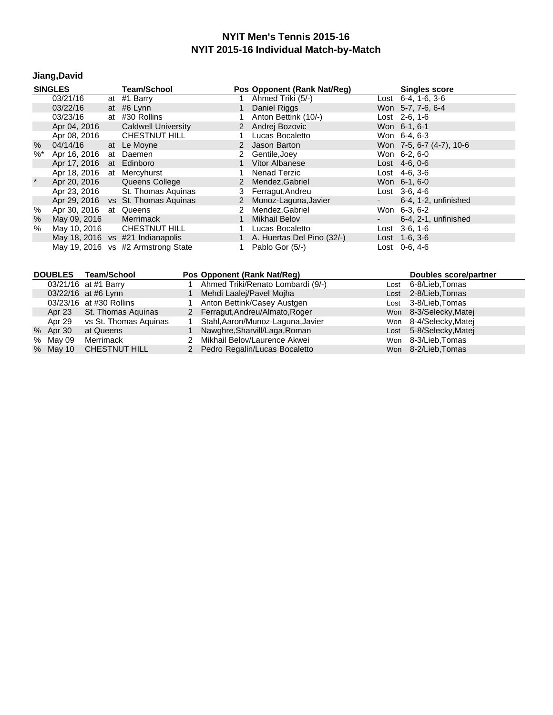# **Jiang,David**

|         | <b>SINGLES</b>           | <b>Team/School</b>                 |   | Pos Opponent (Rank Nat/Reg)  |        | <b>Singles score</b>       |
|---------|--------------------------|------------------------------------|---|------------------------------|--------|----------------------------|
|         | 03/21/16                 | at #1 Barry                        |   | Ahmed Triki (5/-)            |        | Lost $6-4$ , $1-6$ , $3-6$ |
|         | 03/22/16                 | at #6 Lynn                         |   | Daniel Riggs                 |        | Won 5-7, 7-6, 6-4          |
|         | 03/23/16                 | at #30 Rollins                     |   | Anton Bettink (10/-)         |        | Lost 2-6, 1-6              |
|         | Apr 04, 2016             | <b>Caldwell University</b>         |   | 2 Andrej Bozovic             |        | Won 6-1, 6-1               |
|         | Apr 08, 2016             | <b>CHESTNUT HILL</b>               |   | Lucas Bocaletto              |        | Won 6-4, 6-3               |
| $\%$    | 04/14/16                 | at Le Moyne                        |   | 2 Jason Barton               |        | Won 7-5, 6-7 (4-7), 10-6   |
| $\%^*$  | Apr 16, 2016             | at Daemen                          |   | Gentile, Joey                |        | Won 6-2, 6-0               |
|         | Apr 17, 2016 at Edinboro |                                    |   | <b>Vitor Albanese</b>        |        | Lost $4-6, 0-6$            |
|         | Apr 18, 2016             | at Mercyhurst                      |   | Nenad Terzic                 |        | Lost $4-6, 3-6$            |
| $\star$ | Apr 20, 2016             | Queens College                     | 2 | Mendez, Gabriel              |        | Won 6-1, 6-0               |
|         | Apr 23, 2016             | St. Thomas Aguinas                 |   | 3 Ferragut, Andreu           |        | Lost $3-6.4-6$             |
|         |                          | Apr 29, 2016 vs St. Thomas Aguinas |   | 2 Munoz-Laguna, Javier       | ۰.     | 6-4, 1-2, unfinished       |
| %       | Apr 30, 2016 at Queens   |                                    | 2 | Mendez, Gabriel              |        | Won 6-3, 6-2               |
| $\%$    | May 09, 2016             | Merrimack                          |   | <b>Mikhail Belov</b>         | $\sim$ | 6-4, 2-1, unfinished       |
| %       |                          | May 10, 2016 CHESTNUT HILL         |   | Lucas Bocaletto              | Lost   | 3-6, 1-6                   |
|         |                          | May 18, 2016 vs #21 Indianapolis   |   | 1 A. Huertas Del Pino (32/-) |        | Lost $1-6, 3-6$            |
|         |                          | May 19, 2016 vs #2 Armstrong State |   | Pablo Gor (5/-)              |        | Lost 0-6, 4-6              |

|          | DOUBLES Team/School          | Pos Opponent (Rank Nat/Req)       |      | Doubles score/partner   |
|----------|------------------------------|-----------------------------------|------|-------------------------|
|          | 03/21/16 at #1 Barry         | Ahmed Triki/Renato Lombardi (9/-) |      | Lost 6-8/Lieb, Tomas    |
|          | 03/22/16 at #6 Lynn          | Mehdi Laalej/Pavel Mojha          | Lost | 2-8/Lieb,Tomas          |
|          | 03/23/16 at #30 Rollins      | 1 Anton Bettink/Casey Austgen     |      | Lost 3-8/Lieb, Tomas    |
| Apr 23   | St. Thomas Aguinas           | 2 Ferragut, Andreu/Almato, Roger  |      | Won 8-3/Selecky, Matej  |
|          | Apr 29 vs St. Thomas Aguinas | Stahl, Aaron/Munoz-Laguna, Javier |      | Won 8-4/Selecky, Matej  |
| % Apr 30 | at Queens                    | Nawghre, Sharvill/Laga, Roman     |      | Lost 5-8/Selecky, Matej |
| % May 09 | Merrimack                    | 2 Mikhail Belov/Laurence Akwei    |      | Won 8-3/Lieb, Tomas     |
| % May 10 | <b>CHESTNUT HILL</b>         | 2 Pedro Regalin/Lucas Bocaletto   |      | Won 8-2/Lieb, Tomas     |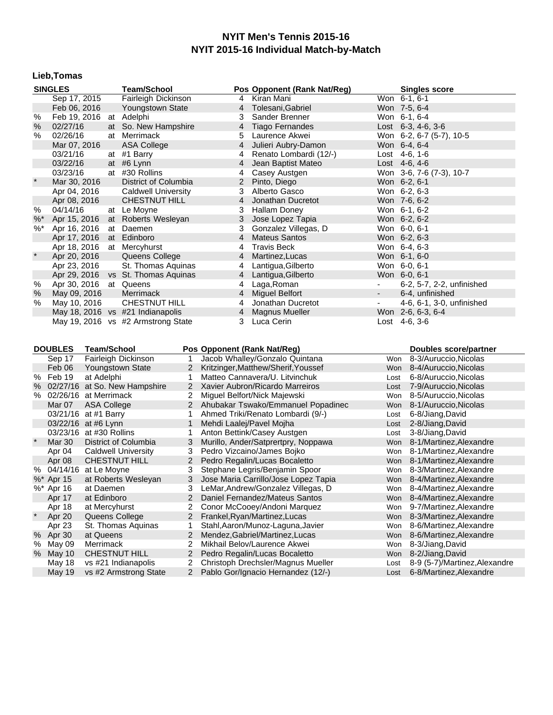# **Lieb,Tomas**

|         | <b>SINGLES</b>          |                    | <b>Team/School</b>                          |                     | Pos Opponent (Rank Nat/Reg)                                         |                | <b>Singles score</b>                              |
|---------|-------------------------|--------------------|---------------------------------------------|---------------------|---------------------------------------------------------------------|----------------|---------------------------------------------------|
|         | Sep 17, 2015            |                    | Fairleigh Dickinson                         |                     | Kiran Mani<br>4                                                     |                | Won 6-1, 6-1                                      |
|         | Feb 06, 2016            |                    | Youngstown State                            |                     | Tolesani, Gabriel<br>4                                              |                | Won 7-5, 6-4                                      |
| $\%$    | Feb 19, 2016 at Adelphi |                    |                                             |                     | 3<br>Sander Brenner                                                 |                | Won 6-1, 6-4                                      |
| %       | 02/27/16                |                    | at So. New Hampshire                        |                     | 4<br><b>Tiago Fernandes</b>                                         |                | Lost $6-3$ , $4-6$ , $3-6$                        |
| $\%$    | 02/26/16                |                    | at Merrimack                                |                     | 5<br>Laurence Akwei                                                 |                | Won 6-2, 6-7 (5-7), 10-5                          |
|         | Mar 07, 2016            |                    | <b>ASA College</b>                          |                     | $\overline{4}$<br>Julieri Aubry-Damon                               |                | Won 6-4, 6-4                                      |
|         | 03/21/16                |                    | at #1 Barry                                 |                     | 4<br>Renato Lombardi (12/-)                                         |                | Lost 4-6, 1-6                                     |
|         | 03/22/16                |                    | at #6 Lynn                                  |                     | Jean Baptist Mateo<br>4                                             |                | Lost 4-6, 4-6                                     |
|         | 03/23/16                |                    | at #30 Rollins                              |                     | 4<br>Casey Austgen                                                  |                | Won 3-6, 7-6 (7-3), 10-7                          |
| $\star$ | Mar 30, 2016            |                    | District of Columbia                        |                     | 2<br>Pinto, Diego                                                   |                | Won 6-2, 6-1                                      |
|         |                         |                    | <b>Caldwell University</b>                  |                     | Alberto Gasco                                                       |                |                                                   |
|         | Apr 04, 2016            |                    |                                             |                     | 3                                                                   |                | Won 6-2, 6-3                                      |
|         | Apr 08, 2016            |                    | <b>CHESTNUT HILL</b>                        |                     | 4<br>Jonathan Ducretot                                              |                | Won 7-6, 6-2                                      |
| %       | 04/14/16                |                    | at Le Moyne                                 |                     | 3<br><b>Hallam Doney</b>                                            |                | Won 6-1, 6-2                                      |
| %       | Apr 15, 2016            |                    | at Roberts Wesleyan                         |                     | 3<br>Jose Lopez Tapia                                               |                | Won 6-2, 6-2                                      |
| $\% *$  | Apr 16, 2016            |                    | at Daemen                                   |                     | 3<br>Gonzalez Villegas, D                                           |                | Won 6-0, 6-1                                      |
|         |                         |                    | Apr 17, 2016 at Edinboro                    |                     | $\overline{4}$<br><b>Mateus Santos</b>                              |                | Won 6-2, 6-3                                      |
|         |                         |                    | Apr 18, 2016 at Mercyhurst                  |                     | <b>Travis Beck</b><br>4                                             |                | Won 6-4, 6-3                                      |
| $\ast$  | Apr 20, 2016            |                    | Queens College                              |                     | 4<br>Martinez, Lucas                                                |                | Won 6-1, 6-0                                      |
|         | Apr 23, 2016            |                    | St. Thomas Aquinas                          |                     | Lantigua, Gilberto<br>4                                             |                | Won 6-0, 6-1                                      |
|         |                         |                    | Apr 29, 2016 vs St. Thomas Aquinas          |                     | Lantigua, Gilberto<br>4                                             |                | Won 6-0, 6-1                                      |
| $\%$    | Apr 30, 2016 at Queens  |                    |                                             |                     | Laga, Roman<br>4                                                    | $\blacksquare$ | 6-2, 5-7, 2-2, unfinished                         |
| %       | May 09, 2016            |                    | Merrimack                                   |                     | <b>Miguel Belfort</b><br>4                                          | ۰.             | 6-4, unfinished                                   |
| %       | May 10, 2016            |                    | CHESTNUT HILL                               |                     | 4<br>Jonathan Ducretot                                              | $\blacksquare$ | 4-6, 6-1, 3-0, unfinished                         |
|         |                         |                    | May 18, 2016 vs #21 Indianapolis            |                     | 4<br><b>Magnus Mueller</b>                                          |                | Won 2-6, 6-3, 6-4                                 |
|         |                         |                    | May 19, 2016 vs #2 Armstrong State          |                     | Luca Cerin<br>3                                                     |                | Lost 4-6, 3-6                                     |
|         |                         |                    |                                             |                     |                                                                     |                |                                                   |
|         | <b>DOUBLES</b>          | <b>Team/School</b> |                                             |                     | Pos Opponent (Rank Nat/Reg)                                         |                | Doubles score/partner                             |
|         | Sep 17                  |                    | Fairleigh Dickinson                         | 1                   | Jacob Whalley/Gonzalo Quintana                                      | Won            | 8-3/Auruccio, Nicolas                             |
|         | Feb 06                  |                    | Youngstown State                            |                     | Kritzinger, Matthew/Sherif, Youssef                                 |                | Won 8-4/Auruccio, Nicolas                         |
|         | % Feb 19                | at Adelphi         |                                             | 1                   | Matteo Cannavera/U. Litvinchuk                                      |                | Lost 6-8/Auruccio, Nicolas                        |
| $\%$    |                         |                    | 02/27/16 at So. New Hampshire               |                     | 2 Xavier Aubron/Ricardo Marreiros                                   | Lost           | 7-9/Auruccio, Nicolas                             |
|         | % 02/26/16 at Merrimack |                    |                                             | 2.                  | Miguel Belfort/Nick Majewski                                        | Won            | 8-5/Auruccio,Nicolas                              |
|         | Mar 07                  | ASA College        |                                             |                     | 2 Ahubakar Tswako/Emmanuel Popadinec                                |                | Won 8-1/Auruccio, Nicolas                         |
|         | 03/21/16 at #1 Barry    |                    |                                             | 1.                  | Ahmed Triki/Renato Lombardi (9/-)                                   | Lost           | 6-8/Jiang, David                                  |
|         | 03/22/16 at #6 Lynn     |                    |                                             | 1                   | Mehdi Laalej/Pavel Mojha                                            | Lost           | 2-8/Jiang, David                                  |
|         | 03/23/16 at #30 Rollins |                    |                                             | 1                   | Anton Bettink/Casey Austgen                                         | Lost           | 3-8/Jiang, David                                  |
|         | <b>Mar 30</b>           |                    | District of Columbia                        | 3                   | Murillo, Ander/Satprertpry, Noppawa                                 |                | Won 8-1/Martinez, Alexandre                       |
|         | Apr 04                  |                    | <b>Caldwell University</b>                  | 3                   | Pedro Vizcaino/James Bojko                                          |                | Won 8-1/Martinez, Alexandre                       |
|         | Apr 08                  |                    | CHESTNUT HILL                               | $2^{\circ}$         | Pedro Regalin/Lucas Bocaletto                                       |                | Won 8-1/Martinez, Alexandre                       |
|         | % 04/14/16 at Le Moyne  |                    |                                             | 3                   | Stephane Legris/Benjamin Spoor                                      |                | Won 8-3/Martinez, Alexandre                       |
|         | %* Apr 15               |                    | at Roberts Wesleyan                         | 3                   | Jose Maria Carrillo/Jose Lopez Tapia                                |                | Won 8-4/Martinez, Alexandre                       |
|         | %* Apr 16               | at Daemen          |                                             | 3                   | LeMar, Andrew/Gonzalez Villegas, D                                  |                | Won 8-4/Martinez, Alexandre                       |
|         | Apr 17                  | at Edinboro        |                                             |                     | Daniel Fernandez/Mateus Santos                                      |                | Won 8-4/Martinez, Alexandre                       |
|         |                         | at Mercyhurst      |                                             | 2                   | Conor McCooey/Andoni Marquez                                        | Won            |                                                   |
|         | Apr 18                  |                    |                                             | $\overline{2}$      |                                                                     | Won            | 9-7/Martinez, Alexandre                           |
|         | Apr 20                  |                    | Queens College                              | 1                   | Frankel, Ryan/Martinez, Lucas                                       |                | 8-3/Martinez, Alexandre                           |
|         | Apr 23                  |                    | St. Thomas Aquinas                          |                     | Stahl, Aaron/Munoz-Laguna, Javier                                   | Won            | 8-6/Martinez, Alexandre                           |
| %       | Apr 30                  | at Queens          |                                             | 2                   | Mendez, Gabriel/Martinez, Lucas                                     | Won            | 8-6/Martinez, Alexandre                           |
| $\%$    | May 09                  | Merrimack          |                                             | 2                   | Mikhail Belov/Laurence Akwei                                        | Won            | 8-3/Jiang, David                                  |
| %       | May 10<br>May 18        |                    | <b>CHESTNUT HILL</b><br>vs #21 Indianapolis | 2<br>$\overline{2}$ | Pedro Regalin/Lucas Bocaletto<br>Christoph Drechsler/Magnus Mueller | Won<br>Lost    | 8-2/Jiang, David<br>8-9 (5-7)/Martinez, Alexandre |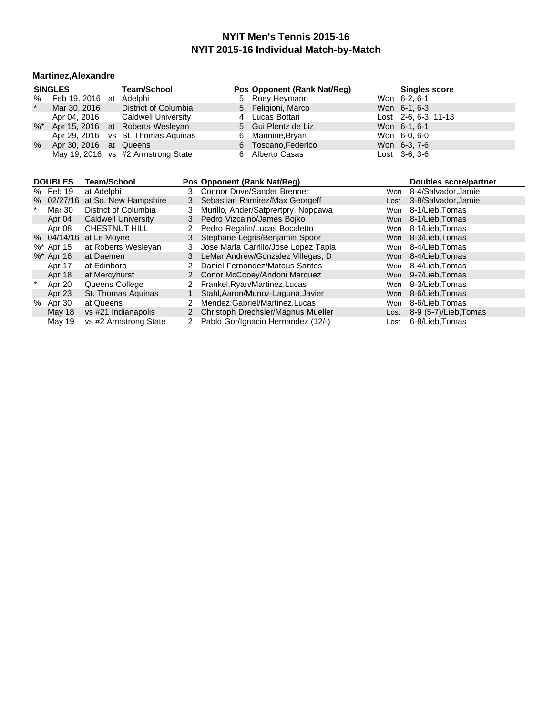#### **Martinez,Alexandre**

| <b>SINGLES</b> |                         |  | <b>Team/School</b>                  | Pos Opponent (Rank Nat/Reg) |  | <b>Singles score</b>   |  |
|----------------|-------------------------|--|-------------------------------------|-----------------------------|--|------------------------|--|
| %              | Feb 19, 2016 at Adelphi |  |                                     | 5 Roey Heymann              |  | Won 6-2, 6-1           |  |
| $\star$        | Mar 30, 2016            |  | District of Columbia                | 5 Feligioni, Marco          |  | Won 6-1, 6-3           |  |
|                | Apr 04, 2016            |  | Caldwell University                 | 4 Lucas Bottari             |  | Lost $2-6, 6-3, 11-13$ |  |
|                |                         |  | %* Apr 15, 2016 at Roberts Wesleyan | 5 Gui Plentz de Liz         |  | Won 6-1, 6-1           |  |
|                |                         |  | Apr 29, 2016 vs St. Thomas Aquinas  | 6 Mannine, Bryan            |  | Won 6-0, 6-0           |  |
| $\%$           | Apr 30, 2016 at Queens  |  |                                     | 6 Toscano, Federico         |  | Won 6-3, 7-6           |  |
|                |                         |  | May 19, 2016 vs #2 Armstrong State  | 6 Alberto Casas             |  | Lost 3-6, 3-6          |  |

|   | <b>DOUBLES</b> | Team/School                     |    | Pos Opponent (Rank Nat/Req)          |            | Doubles score/partner |
|---|----------------|---------------------------------|----|--------------------------------------|------------|-----------------------|
|   | % Feb 19       | at Adelphi                      | 3. | <b>Connor Dove/Sander Brenner</b>    | Won        | 8-4/Salvador, Jamie   |
|   |                | % 02/27/16 at So. New Hampshire | 3  | Sebastian Ramirez/Max Georgeff       | Lost       | 3-8/Salvador, Jamie   |
|   | Mar 30         | District of Columbia            | 3  | Murillo, Ander/Satprertpry, Noppawa  | Won        | 8-1/Lieb, Tomas       |
|   | Apr 04         | <b>Caldwell University</b>      | 3  | Pedro Vizcaino/James Bojko           | Won        | 8-1/Lieb,Tomas        |
|   | Apr 08         | CHESTNUT HILL                   |    | Pedro Regalin/Lucas Bocaletto        | Won        | 8-1/Lieb, Tomas       |
|   | % 04/14/16     | at Le Moyne                     | 3  | Stephane Legris/Benjamin Spoor       | Won        | 8-3/Lieb.Tomas        |
|   | %* Apr 15      | at Roberts Wesleyan             | 3. | Jose Maria Carrillo/Jose Lopez Tapia | Won        | 8-4/Lieb,Tomas        |
|   | $\%^*$ Apr 16  | at Daemen                       | 3  | LeMar, Andrew/Gonzalez Villegas, D   |            | Won 8-4/Lieb. Tomas   |
|   | Apr 17         | at Edinboro                     |    | Daniel Fernandez/Mateus Santos       | Won        | 8-4/Lieb.Tomas        |
|   | Apr 18         | at Mercyhurst                   | 2  | Conor McCooey/Andoni Marquez         | Won        | 9-7/Lieb, Tomas       |
|   | Apr 20         | Queens College                  | 2  | Frankel, Ryan/Martinez, Lucas        | Won        | 8-3/Lieb, Tomas       |
|   | Apr 23         | St. Thomas Aquinas              |    | Stahl, Aaron/Munoz-Laguna, Javier    | <b>Won</b> | 8-6/Lieb, Tomas       |
| % | Apr 30         | at Queens                       |    | Mendez, Gabriel/Martinez, Lucas      | Won        | 8-6/Lieb, Tomas       |
|   | May 18         | vs #21 Indianapolis             | 2  | Christoph Drechsler/Magnus Mueller   | Lost       | 8-9 (5-7)/Lieb, Tomas |
|   | May 19         | vs #2 Armstrong State           | 2  | Pablo Gor/Ignacio Hernandez (12/-)   | Lost       | 6-8/Lieb.Tomas        |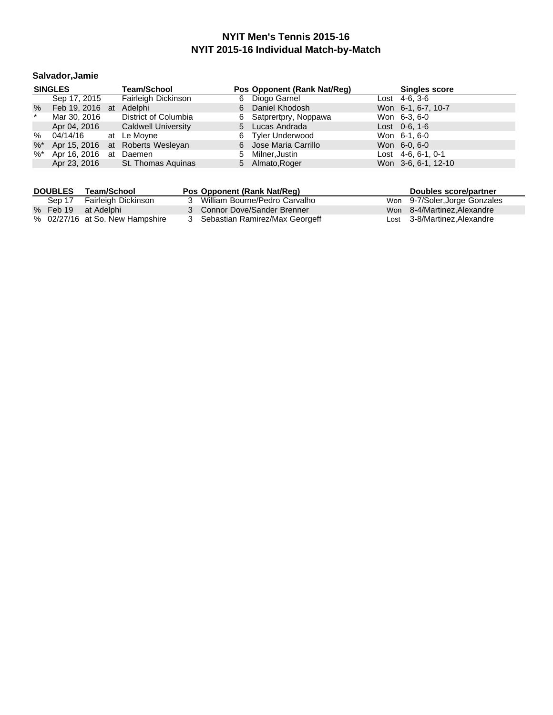# **Salvador,Jamie**

|         | <b>SINGLES</b>          | <b>Team/School</b>               |    | Pos Opponent (Rank Nat/Reg) | <b>Singles score</b> |
|---------|-------------------------|----------------------------------|----|-----------------------------|----------------------|
|         | Sep 17, 2015            | Fairleigh Dickinson              |    | 6 Diogo Garnel              | Lost $4-6, 3-6$      |
| %       | Feb 19, 2016 at Adelphi |                                  | 6  | Daniel Khodosh              | Won 6-1, 6-7, 10-7   |
| $\star$ | Mar 30, 2016            | District of Columbia             |    | 6 Satprertpry, Noppawa      | Won 6-3, 6-0         |
|         | Apr 04, 2016            | <b>Caldwell University</b>       |    | 5 Lucas Andrada             | Lost $0-6$ , 1-6     |
| %       | 04/14/16 at Le Moyne    |                                  | 6. | <b>Tyler Underwood</b>      | Won 6-1, 6-0         |
| $\%$ *  |                         | Apr 15, 2016 at Roberts Wesleyan |    | 6 Jose Maria Carrillo       | Won 6-0, 6-0         |
| %*      | Apr 16, 2016 at         | Daemen                           | 5  | Milner,Justin               | Lost $4-6, 6-1, 0-1$ |
|         | Apr 23, 2016            | St. Thomas Aguinas               |    | 5 Almato, Roger             | Won 3-6, 6-1, 12-10  |

| <b>DOUBLES</b> | Team/School                     | Pos Opponent (Rank Nat/Reg)      | Doubles score/partner         |
|----------------|---------------------------------|----------------------------------|-------------------------------|
|                | Sep 17 Fairleigh Dickinson      | 3 William Bourne/Pedro Carvalho  | Won 9-7/Soler, Jorge Gonzales |
|                | % Feb 19 at Adelphi             | 3 Connor Dove/Sander Brenner     | Won 8-4/Martinez, Alexandre   |
|                | % 02/27/16 at So. New Hampshire | 3 Sebastian Ramirez/Max Georgeff | Lost 3-8/Martinez, Alexandre  |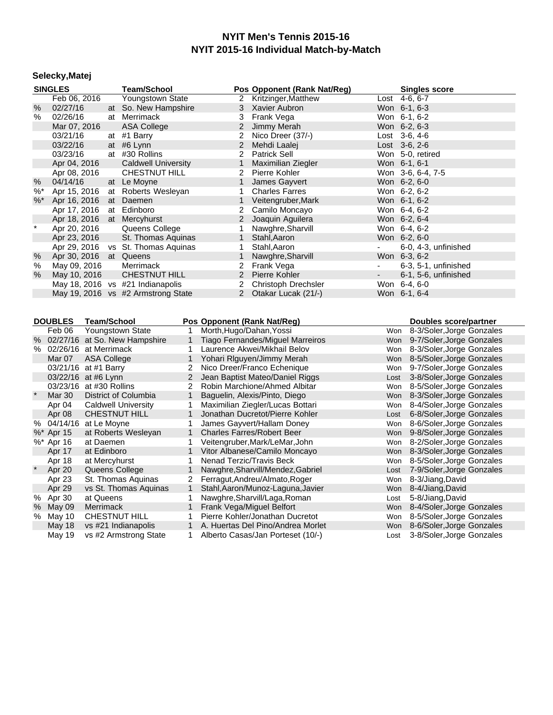#### **Selecky,Matej**

|         | <b>SINGLES</b>                                 |                                              |                                | <b>Team/School</b>                   |                                   |                                   | Pos Opponent (Rank Nat/Reg)                                          |                               | <b>Singles score</b>                                       |
|---------|------------------------------------------------|----------------------------------------------|--------------------------------|--------------------------------------|-----------------------------------|-----------------------------------|----------------------------------------------------------------------|-------------------------------|------------------------------------------------------------|
|         | Feb 06, 2016                                   |                                              |                                | <b>Youngstown State</b>              |                                   | $\mathbf{2}$                      | Kritzinger, Matthew                                                  |                               | Lost 4-6, 6-7                                              |
| $\%$    | 02/27/16                                       |                                              | at                             | So. New Hampshire                    |                                   | 3                                 | Xavier Aubron                                                        |                               | Won 6-1, 6-3                                               |
| $\%$    | 02/26/16                                       |                                              |                                | at Merrimack                         |                                   | 3                                 | Frank Vega                                                           |                               | Won 6-1, 6-2                                               |
|         | Mar 07, 2016                                   |                                              |                                | <b>ASA College</b>                   |                                   | 2                                 | Jimmy Merah                                                          |                               | Won 6-2, 6-3                                               |
|         | 03/21/16                                       |                                              |                                | at #1 Barry                          |                                   | $\overline{2}$                    | Nico Dreer (37/-)                                                    |                               | Lost 3-6, 4-6                                              |
|         | 03/22/16                                       |                                              |                                | at #6 Lynn                           |                                   | $\overline{c}$                    | Mehdi Laalej                                                         |                               | Lost 3-6, 2-6                                              |
|         | 03/23/16                                       |                                              |                                | at #30 Rollins                       |                                   | $\overline{2}$                    | Patrick Sell                                                         |                               | Won 5-0, retired                                           |
|         | Apr 04, 2016                                   |                                              |                                | <b>Caldwell University</b>           |                                   | $\mathbf{1}$                      | Maximilian Ziegler                                                   |                               | Won 6-1, 6-1                                               |
|         | Apr 08, 2016                                   |                                              |                                | CHESTNUT HILL                        |                                   | $\overline{2}$                    | Pierre Kohler                                                        |                               | Won 3-6, 6-4, 7-5                                          |
| $\%$    | 04/14/16                                       |                                              |                                | at Le Moyne                          |                                   | $\mathbf{1}$                      | James Gayvert                                                        |                               | Won 6-2, 6-0                                               |
| $\%$    | Apr 15, 2016                                   |                                              |                                | at Roberts Wesleyan                  |                                   | 1                                 | <b>Charles Farres</b>                                                |                               | Won 6-2, 6-2                                               |
| $\%$    | Apr 16, 2016                                   |                                              | at                             | Daemen                               |                                   | $\mathbf{1}$                      | Veitengruber, Mark                                                   |                               | Won 6-1, 6-2                                               |
|         | Apr 17, 2016                                   |                                              |                                | at Edinboro                          |                                   | 2                                 | Camilo Moncayo                                                       |                               | Won 6-4, 6-2                                               |
|         | Apr 18, 2016                                   |                                              |                                | at Mercyhurst                        |                                   | 2                                 | Joaquin Aguilera                                                     |                               | Won 6-2, 6-4                                               |
| $\ast$  | Apr 20, 2016                                   |                                              |                                | Queens College                       |                                   | 1                                 | Nawghre, Sharvill                                                    |                               | Won 6-4, 6-2                                               |
|         | Apr 23, 2016                                   |                                              |                                | St. Thomas Aguinas                   |                                   | $\mathbf{1}$                      | Stahl, Aaron                                                         |                               | Won 6-2, 6-0                                               |
|         |                                                |                                              |                                | Apr 29, 2016 vs St. Thomas Aquinas   |                                   | 1                                 | Stahl, Aaron                                                         | $\frac{1}{2}$                 | 6-0, 4-3, unfinished                                       |
|         |                                                |                                              |                                |                                      |                                   | $\mathbf{1}$                      |                                                                      |                               |                                                            |
| %       | Apr 30, 2016                                   |                                              |                                | at Queens                            |                                   |                                   | Nawghre, Sharvill                                                    |                               | Won 6-3, 6-2                                               |
| $\%$    | May 09, 2016                                   |                                              |                                | Merrimack                            |                                   | $\overline{2}$<br>$\overline{2}$  | Frank Vega                                                           | $\overline{\phantom{0}}$      | 6-3, 5-1, unfinished                                       |
| %       | May 10, 2016                                   |                                              |                                | <b>CHESTNUT HILL</b>                 |                                   |                                   | Pierre Kohler                                                        |                               | 6-1, 5-6, unfinished                                       |
|         |                                                |                                              |                                | May 18, 2016 vs #21 Indianapolis     |                                   | 2 <sup>7</sup>                    | <b>Christoph Drechsler</b>                                           |                               | Won 6-4, 6-0                                               |
|         |                                                |                                              |                                | May 19, 2016 vs #2 Armstrong State   |                                   | $\mathbf{2}$                      | Otakar Lucak (21/-)                                                  |                               | Won 6-1, 6-4                                               |
|         |                                                |                                              |                                |                                      |                                   |                                   |                                                                      |                               |                                                            |
|         | <b>DOUBLES</b><br><b>Team/School</b>           |                                              |                                |                                      |                                   |                                   |                                                                      |                               |                                                            |
|         |                                                |                                              |                                |                                      |                                   |                                   | Pos Opponent (Rank Nat/Reg)                                          |                               | Doubles score/partner                                      |
|         | Feb 06                                         |                                              |                                | Youngstown State                     | 1                                 | Morth, Hugo/Dahan, Yossi          |                                                                      | Won                           | 8-3/Soler, Jorge Gonzales                                  |
| %       |                                                |                                              |                                | 02/27/16 at So. New Hampshire        | $\mathbf{1}$                      |                                   | Tiago Fernandes/Miguel Marreiros                                     |                               | Won 9-7/Soler, Jorge Gonzales                              |
|         | % 02/26/16 at Merrimack                        |                                              |                                |                                      | 1.                                | Laurence Akwei/Mikhail Belov      |                                                                      |                               | Won 8-3/Soler, Jorge Gonzales                              |
|         | Mar 07                                         | <b>ASA College</b>                           |                                | $\mathbf{1}$                         | Yohari RIguyen/Jimmy Merah        |                                   |                                                                      | Won 8-5/Soler, Jorge Gonzales |                                                            |
|         |                                                | 03/21/16 at #1 Barry                         |                                | $\mathbf{2}^{\circ}$                 |                                   | Nico Dreer/Franco Echenique       |                                                                      | Won 9-7/Soler, Jorge Gonzales |                                                            |
|         |                                                | 03/22/16 at #6 Lynn<br>$\mathbf{2}^{\prime}$ |                                |                                      | Jean Baptist Mateo/Daniel Riggs   | Lost                              | 3-8/Soler, Jorge Gonzales                                            |                               |                                                            |
|         | 03/23/16 at #30 Rollins                        |                                              |                                |                                      | $\overline{2}$                    |                                   | Robin Marchione/Ahmed Albitar                                        |                               | Won 8-5/Soler, Jorge Gonzales                              |
| $\star$ | <b>Mar 30</b><br>District of Columbia          |                                              | $\mathbf{1}$                   |                                      | Baguelin, Alexis/Pinto, Diego     | Won                               | 8-3/Soler, Jorge Gonzales                                            |                               |                                                            |
|         | Apr 04                                         | <b>Caldwell University</b>                   |                                | $\mathbf{1}$                         | Maximilian Ziegler/Lucas Bottari  |                                   |                                                                      | Won 8-4/Soler, Jorge Gonzales |                                                            |
|         | Apr 08                                         | <b>CHESTNUT HILL</b>                         |                                | $\mathbf{1}$                         | Jonathan Ducretot/Pierre Kohler   |                                   | Lost                                                                 | 6-8/Soler, Jorge Gonzales     |                                                            |
|         | % 04/14/16 at Le Moyne                         |                                              |                                |                                      | $\mathbf{1}$                      |                                   | James Gayvert/Hallam Doney                                           |                               | Won 8-6/Soler, Jorge Gonzales                              |
|         | %* Apr 15                                      |                                              | at Roberts Wesleyan            |                                      | $\mathbf{1}$                      | <b>Charles Farres/Robert Beer</b> |                                                                      | <b>Won</b>                    | 9-8/Soler, Jorge Gonzales                                  |
|         | %* Apr 16                                      | at Daemen<br>1                               |                                |                                      | Veitengruber, Mark/LeMar, John    |                                   | Won 8-2/Soler, Jorge Gonzales                                        |                               |                                                            |
|         | Apr 17<br>at Edinboro<br>$\mathbf{1}$          |                                              | Vitor Albanese/Camilo Moncayo  |                                      | Won                               | 8-3/Soler, Jorge Gonzales         |                                                                      |                               |                                                            |
|         | Apr 18<br>at Mercyhurst                        |                                              |                                | $\mathbf{1}$                         | Nenad Terzic/Travis Beck          |                                   | Won                                                                  | 8-5/Soler, Jorge Gonzales     |                                                            |
| $\star$ | Apr 20                                         | Queens College                               |                                | $\mathbf{1}$                         | Nawghre, Sharvill/Mendez, Gabriel |                                   | Lost                                                                 | 7-9/Soler, Jorge Gonzales     |                                                            |
|         | Apr 23<br>St. Thomas Aquinas<br>$\overline{2}$ |                                              | Ferragut, Andreu/Almato, Roger |                                      | Won                               | 8-3/Jiang, David                  |                                                                      |                               |                                                            |
|         | Apr 29                                         | $\mathbf{1}$<br>vs St. Thomas Aquinas        |                                | Stahl, Aaron/Munoz-Laguna, Javier    |                                   |                                   | Won 8-4/Jiang, David                                                 |                               |                                                            |
|         | % Apr 30                                       | at Queens                                    |                                | 1                                    | Nawghre, Sharvill/Laga, Roman     |                                   | Lost                                                                 | 5-8/Jiang, David              |                                                            |
| $\%$    | May 09                                         | Merrimack                                    |                                |                                      |                                   |                                   |                                                                      |                               | 8-4/Soler, Jorge Gonzales                                  |
|         |                                                |                                              |                                |                                      |                                   |                                   |                                                                      |                               |                                                            |
|         |                                                |                                              |                                |                                      | $\mathbf{1}$                      |                                   | Frank Vega/Miguel Belfort                                            | Won                           |                                                            |
|         | % May 10<br>May 18                             |                                              |                                | CHESTNUT HILL<br>vs #21 Indianapolis | 1.<br>$\mathbf{1}$                |                                   | Pierre Kohler/Jonathan Ducretot<br>A. Huertas Del Pino/Andrea Morlet | Won                           | 8-5/Soler, Jorge Gonzales<br>Won 8-6/Soler, Jorge Gonzales |

May 18 vs #21 Indianapolis 1 A. Huertas Del Pino/Andrea Morlet Won 8-6/Soler, Jorge Gonzales<br>May 19 vs #2 Armstrong State 1 Alberto Casas/Jan Porteset (10/-) Lost 3-8/Soler, Jorge Gonzales

1 Alberto Casas/Jan Porteset (10/-)